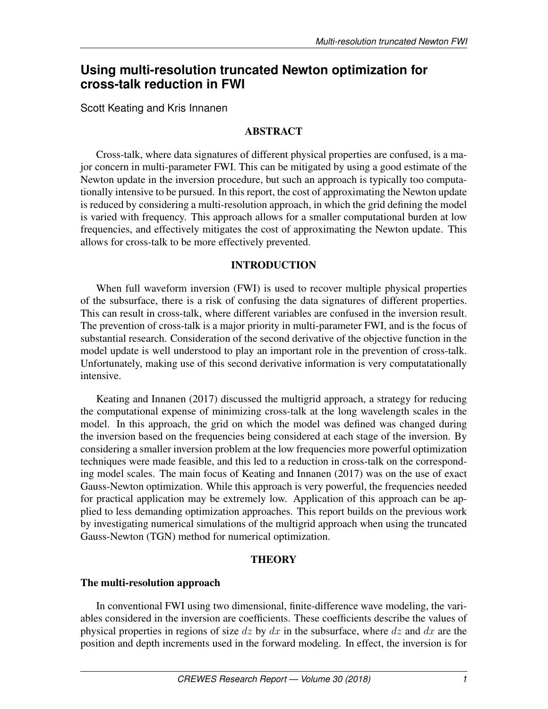# **Using multi-resolution truncated Newton optimization for cross-talk reduction in FWI**

Scott Keating and Kris Innanen

# ABSTRACT

Cross-talk, where data signatures of different physical properties are confused, is a major concern in multi-parameter FWI. This can be mitigated by using a good estimate of the Newton update in the inversion procedure, but such an approach is typically too computationally intensive to be pursued. In this report, the cost of approximating the Newton update is reduced by considering a multi-resolution approach, in which the grid defining the model is varied with frequency. This approach allows for a smaller computational burden at low frequencies, and effectively mitigates the cost of approximating the Newton update. This allows for cross-talk to be more effectively prevented.

## INTRODUCTION

When full waveform inversion (FWI) is used to recover multiple physical properties of the subsurface, there is a risk of confusing the data signatures of different properties. This can result in cross-talk, where different variables are confused in the inversion result. The prevention of cross-talk is a major priority in multi-parameter FWI, and is the focus of substantial research. Consideration of the second derivative of the objective function in the model update is well understood to play an important role in the prevention of cross-talk. Unfortunately, making use of this second derivative information is very computatationally intensive.

[Keating and Innanen](#page-7-0) [\(2017\)](#page-7-0) discussed the multigrid approach, a strategy for reducing the computational expense of minimizing cross-talk at the long wavelength scales in the model. In this approach, the grid on which the model was defined was changed during the inversion based on the frequencies being considered at each stage of the inversion. By considering a smaller inversion problem at the low frequencies more powerful optimization techniques were made feasible, and this led to a reduction in cross-talk on the corresponding model scales. The main focus of [Keating and Innanen](#page-7-0) [\(2017\)](#page-7-0) was on the use of exact Gauss-Newton optimization. While this approach is very powerful, the frequencies needed for practical application may be extremely low. Application of this approach can be applied to less demanding optimization approaches. This report builds on the previous work by investigating numerical simulations of the multigrid approach when using the truncated Gauss-Newton (TGN) method for numerical optimization.

## **THEORY**

## The multi-resolution approach

In conventional FWI using two dimensional, finite-difference wave modeling, the variables considered in the inversion are coefficients. These coefficients describe the values of physical properties in regions of size dz by dx in the subsurface, where dz and dx are the position and depth increments used in the forward modeling. In effect, the inversion is for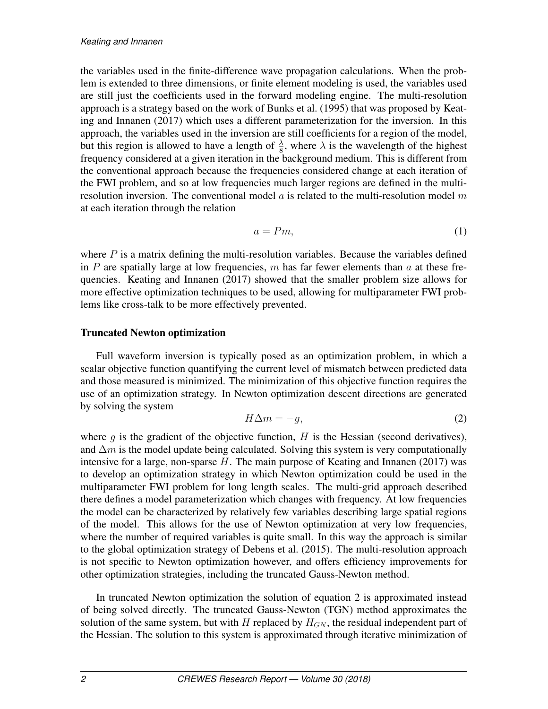the variables used in the finite-difference wave propagation calculations. When the problem is extended to three dimensions, or finite element modeling is used, the variables used are still just the coefficients used in the forward modeling engine. The multi-resolution approach is a strategy based on the work of [Bunks et al.](#page-7-1) [\(1995\)](#page-7-1) that was proposed by [Keat](#page-7-0)[ing and Innanen](#page-7-0) [\(2017\)](#page-7-0) which uses a different parameterization for the inversion. In this approach, the variables used in the inversion are still coefficients for a region of the model, but this region is allowed to have a length of  $\frac{\lambda}{8}$ , where  $\lambda$  is the wavelength of the highest frequency considered at a given iteration in the background medium. This is different from the conventional approach because the frequencies considered change at each iteration of the FWI problem, and so at low frequencies much larger regions are defined in the multiresolution inversion. The conventional model  $a$  is related to the multi-resolution model  $m$ at each iteration through the relation

$$
a = Pm,\tag{1}
$$

where  $P$  is a matrix defining the multi-resolution variables. Because the variables defined in P are spatially large at low frequencies, m has far fewer elements than a at these frequencies. [Keating and Innanen](#page-7-0) [\(2017\)](#page-7-0) showed that the smaller problem size allows for more effective optimization techniques to be used, allowing for multiparameter FWI problems like cross-talk to be more effectively prevented.

## Truncated Newton optimization

Full waveform inversion is typically posed as an optimization problem, in which a scalar objective function quantifying the current level of mismatch between predicted data and those measured is minimized. The minimization of this objective function requires the use of an optimization strategy. In Newton optimization descent directions are generated by solving the system

<span id="page-1-0"></span>
$$
H\Delta m = -g,\tag{2}
$$

where  $g$  is the gradient of the objective function,  $H$  is the Hessian (second derivatives), and  $\Delta m$  is the model update being calculated. Solving this system is very computationally intensive for a large, non-sparse  $H$ . The main purpose of [Keating and Innanen](#page-7-0) [\(2017\)](#page-7-0) was to develop an optimization strategy in which Newton optimization could be used in the multiparameter FWI problem for long length scales. The multi-grid approach described there defines a model parameterization which changes with frequency. At low frequencies the model can be characterized by relatively few variables describing large spatial regions of the model. This allows for the use of Newton optimization at very low frequencies, where the number of required variables is quite small. In this way the approach is similar to the global optimization strategy of [Debens et al.](#page-7-2) [\(2015\)](#page-7-2). The multi-resolution approach is not specific to Newton optimization however, and offers efficiency improvements for other optimization strategies, including the truncated Gauss-Newton method.

In truncated Newton optimization the solution of equation [2](#page-1-0) is approximated instead of being solved directly. The truncated Gauss-Newton (TGN) method approximates the solution of the same system, but with H replaced by  $H_{GN}$ , the residual independent part of the Hessian. The solution to this system is approximated through iterative minimization of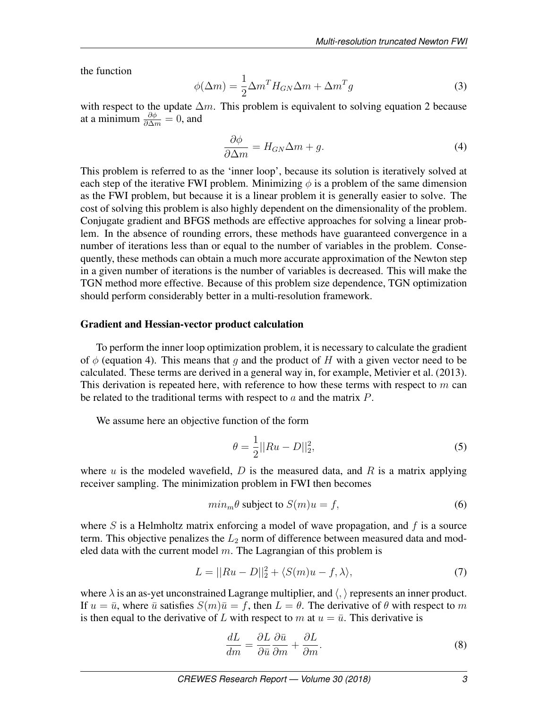the function

$$
\phi(\Delta m) = \frac{1}{2}\Delta m^T H_{GN}\Delta m + \Delta m^T g \tag{3}
$$

with respect to the update  $\Delta m$ . This problem is equivalent to solving equation [2](#page-1-0) because at a minimum  $\frac{\partial \phi}{\partial \Delta m} = 0$ , and

<span id="page-2-0"></span>
$$
\frac{\partial \phi}{\partial \Delta m} = H_{GN}\Delta m + g. \tag{4}
$$

This problem is referred to as the 'inner loop', because its solution is iteratively solved at each step of the iterative FWI problem. Minimizing  $\phi$  is a problem of the same dimension as the FWI problem, but because it is a linear problem it is generally easier to solve. The cost of solving this problem is also highly dependent on the dimensionality of the problem. Conjugate gradient and BFGS methods are effective approaches for solving a linear problem. In the absence of rounding errors, these methods have guaranteed convergence in a number of iterations less than or equal to the number of variables in the problem. Consequently, these methods can obtain a much more accurate approximation of the Newton step in a given number of iterations is the number of variables is decreased. This will make the TGN method more effective. Because of this problem size dependence, TGN optimization should perform considerably better in a multi-resolution framework.

## Gradient and Hessian-vector product calculation

To perform the inner loop optimization problem, it is necessary to calculate the gradient of  $\phi$  (equation [4\)](#page-2-0). This means that q and the product of H with a given vector need to be calculated. These terms are derived in a general way in, for example, [Metivier et al.](#page-7-3) [\(2013\)](#page-7-3). This derivation is repeated here, with reference to how these terms with respect to  $m$  can be related to the traditional terms with respect to  $a$  and the matrix  $P$ .

We assume here an objective function of the form

$$
\theta = \frac{1}{2} ||Ru - D||_2^2,\tag{5}
$$

where u is the modeled wavefield,  $D$  is the measured data, and  $R$  is a matrix applying receiver sampling. The minimization problem in FWI then becomes

$$
min_m \theta \text{ subject to } S(m)u = f,
$$
\n(6)

where S is a Helmholtz matrix enforcing a model of wave propagation, and  $f$  is a source term. This objective penalizes the  $L_2$  norm of difference between measured data and modeled data with the current model  $m$ . The Lagrangian of this problem is

<span id="page-2-2"></span>
$$
L = ||Ru - D||_2^2 + \langle S(m)u - f, \lambda \rangle,
$$
\n(7)

where  $\lambda$  is an as-yet unconstrained Lagrange multiplier, and  $\langle, \rangle$  represents an inner product. If  $u = \bar{u}$ , where  $\bar{u}$  satisfies  $S(m)\bar{u} = f$ , then  $L = \theta$ . The derivative of  $\theta$  with respect to m is then equal to the derivative of L with respect to m at  $u = \bar{u}$ . This derivative is

<span id="page-2-1"></span>
$$
\frac{dL}{dm} = \frac{\partial L}{\partial \bar{u}} \frac{\partial \bar{u}}{\partial m} + \frac{\partial L}{\partial m}.
$$
\n(8)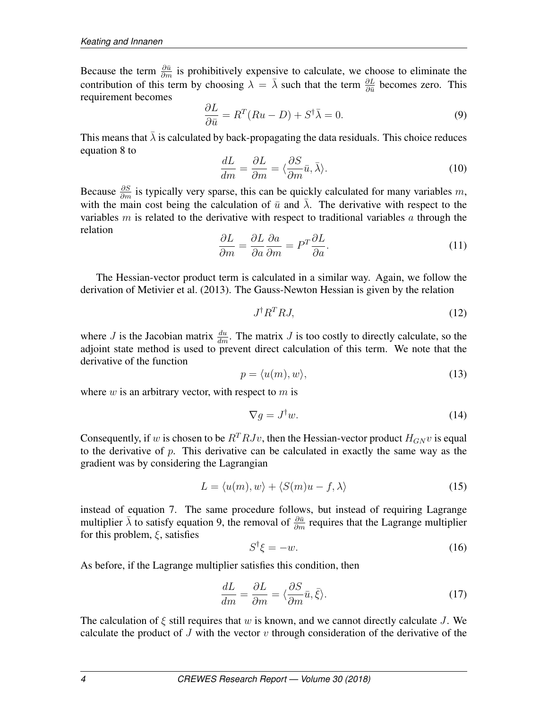Because the term  $\frac{\partial \bar{u}}{\partial m}$  is prohibitively expensive to calculate, we choose to eliminate the contribution of this term by choosing  $\lambda = \overline{\lambda}$  such that the term  $\frac{\partial L}{\partial \overline{u}}$  becomes zero. This requirement becomes

<span id="page-3-0"></span>
$$
\frac{\partial L}{\partial \bar{u}} = R^T (Ru - D) + S^{\dagger} \bar{\lambda} = 0.
$$
\n(9)

This means that  $\overline{\lambda}$  is calculated by back-propagating the data residuals. This choice reduces equation [8](#page-2-1) to

$$
\frac{dL}{dm} = \frac{\partial L}{\partial m} = \langle \frac{\partial S}{\partial m}\bar{u}, \bar{\lambda} \rangle.
$$
 (10)

Because  $\frac{\partial S}{\partial m}$  is typically very sparse, this can be quickly calculated for many variables m, with the main cost being the calculation of  $\bar{u}$  and  $\bar{\lambda}$ . The derivative with respect to the variables m is related to the derivative with respect to traditional variables a through the relation

$$
\frac{\partial L}{\partial m} = \frac{\partial L}{\partial a} \frac{\partial a}{\partial m} = P^T \frac{\partial L}{\partial a}.
$$
\n(11)

The Hessian-vector product term is calculated in a similar way. Again, we follow the derivation of [Metivier et al.](#page-7-3) [\(2013\)](#page-7-3). The Gauss-Newton Hessian is given by the relation

<span id="page-3-3"></span>
$$
J^{\dagger}R^{T}RJ, \tag{12}
$$

where *J* is the Jacobian matrix  $\frac{du}{dm}$ . The matrix *J* is too costly to directly calculate, so the adjoint state method is used to prevent direct calculation of this term. We note that the derivative of the function

$$
p = \langle u(m), w \rangle, \tag{13}
$$

where  $w$  is an arbitrary vector, with respect to  $m$  is

$$
\nabla g = J^{\dagger} w. \tag{14}
$$

Consequently, if w is chosen to be  $R^{T}RJv$ , then the Hessian-vector product  $H_{GN}v$  is equal to the derivative of  $p$ . This derivative can be calculated in exactly the same way as the gradient was by considering the Lagrangian

$$
L = \langle u(m), w \rangle + \langle S(m)u - f, \lambda \rangle \tag{15}
$$

instead of equation [7.](#page-2-2) The same procedure follows, but instead of requiring Lagrange multiplier  $\bar{\lambda}$  to satisfy equation [9,](#page-3-0) the removal of  $\frac{\partial \bar{u}}{\partial m}$  requires that the Lagrange multiplier for this problem,  $\xi$ , satisfies

<span id="page-3-1"></span>
$$
S^{\dagger}\xi = -w.\tag{16}
$$

As before, if the Lagrange multiplier satisfies this condition, then

<span id="page-3-2"></span>
$$
\frac{dL}{dm} = \frac{\partial L}{\partial m} = \langle \frac{\partial S}{\partial m}\bar{u}, \bar{\xi} \rangle.
$$
 (17)

The calculation of  $\xi$  still requires that w is known, and we cannot directly calculate J. We calculate the product of J with the vector v through consideration of the derivative of the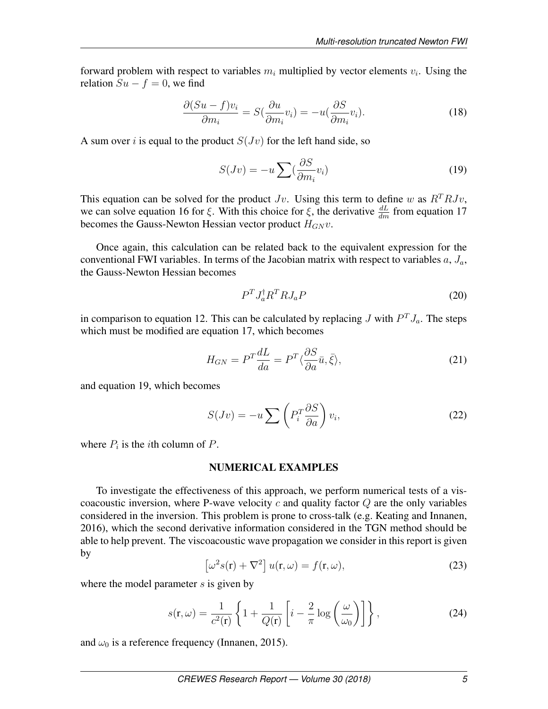forward problem with respect to variables  $m_i$  multiplied by vector elements  $v_i$ . Using the relation  $Su - f = 0$ , we find

$$
\frac{\partial (Su - f)v_i}{\partial m_i} = S(\frac{\partial u}{\partial m_i}v_i) = -u(\frac{\partial S}{\partial m_i}v_i).
$$
 (18)

A sum over i is equal to the product  $S(Jv)$  for the left hand side, so

<span id="page-4-0"></span>
$$
S(Jv) = -u \sum_{i} \left(\frac{\partial S}{\partial m_i} v_i\right) \tag{19}
$$

This equation can be solved for the product  $Jv$ . Using this term to define w as  $R^{T}RJv$ , we can solve equation [16](#page-3-1) for  $\xi$ . With this choice for  $\xi$ , the derivative  $\frac{dL}{dm}$  from equation [17](#page-3-2) becomes the Gauss-Newton Hessian vector product  $H_{GN}v$ .

Once again, this calculation can be related back to the equivalent expression for the conventional FWI variables. In terms of the Jacobian matrix with respect to variables  $a, J_a$ , the Gauss-Newton Hessian becomes

$$
P^T J_a^\dagger R^T R J_a P \tag{20}
$$

in comparison to equation [12.](#page-3-3) This can be calculated by replacing J with  $P^{T} J_{a}$ . The steps which must be modified are equation [17,](#page-3-2) which becomes

$$
H_{GN} = P^T \frac{dL}{da} = P^T \langle \frac{\partial S}{\partial a} \bar{u}, \bar{\xi} \rangle,
$$
 (21)

and equation [19,](#page-4-0) which becomes

$$
S(Jv) = -u \sum \left( P_i^T \frac{\partial S}{\partial a} \right) v_i,
$$
 (22)

where  $P_i$  is the *i*th column of  $P$ .

### NUMERICAL EXAMPLES

To investigate the effectiveness of this approach, we perform numerical tests of a viscoacoustic inversion, where P-wave velocity c and quality factor  $Q$  are the only variables considered in the inversion. This problem is prone to cross-talk (e.g. [Keating and Innanen,](#page-7-4) [2016\)](#page-7-4), which the second derivative information considered in the TGN method should be able to help prevent. The viscoacoustic wave propagation we consider in this report is given by

$$
\left[\omega^2 s(\mathbf{r}) + \nabla^2\right] u(\mathbf{r}, \omega) = f(\mathbf{r}, \omega),\tag{23}
$$

where the model parameter  $s$  is given by

$$
s(\mathbf{r}, \omega) = \frac{1}{c^2(\mathbf{r})} \left\{ 1 + \frac{1}{Q(\mathbf{r})} \left[ i - \frac{2}{\pi} \log \left( \frac{\omega}{\omega_0} \right) \right] \right\},\tag{24}
$$

and  $\omega_0$  is a reference frequency [\(Innanen, 2015\)](#page-7-5).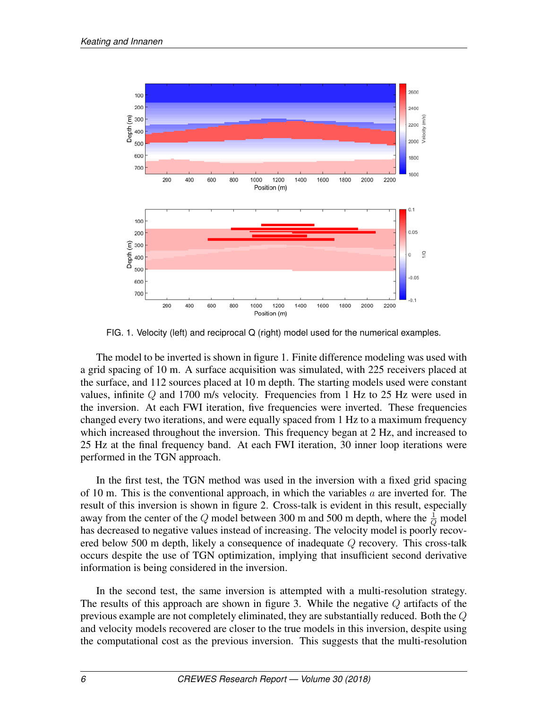

<span id="page-5-0"></span>FIG. 1. Velocity (left) and reciprocal Q (right) model used for the numerical examples.

The model to be inverted is shown in figure [1.](#page-5-0) Finite difference modeling was used with a grid spacing of 10 m. A surface acquisition was simulated, with 225 receivers placed at the surface, and 112 sources placed at 10 m depth. The starting models used were constant values, infinite  $Q$  and 1700 m/s velocity. Frequencies from 1 Hz to 25 Hz were used in the inversion. At each FWI iteration, five frequencies were inverted. These frequencies changed every two iterations, and were equally spaced from 1 Hz to a maximum frequency which increased throughout the inversion. This frequency began at 2 Hz, and increased to 25 Hz at the final frequency band. At each FWI iteration, 30 inner loop iterations were performed in the TGN approach.

In the first test, the TGN method was used in the inversion with a fixed grid spacing of 10 m. This is the conventional approach, in which the variables  $a$  are inverted for. The result of this inversion is shown in figure [2.](#page-6-0) Cross-talk is evident in this result, especially away from the center of the  $Q$  model between 300 m and 500 m depth, where the  $\frac{1}{Q}$  model has decreased to negative values instead of increasing. The velocity model is poorly recovered below 500 m depth, likely a consequence of inadequate  $Q$  recovery. This cross-talk occurs despite the use of TGN optimization, implying that insufficient second derivative information is being considered in the inversion.

In the second test, the same inversion is attempted with a multi-resolution strategy. The results of this approach are shown in figure [3.](#page-7-6) While the negative  $Q$  artifacts of the previous example are not completely eliminated, they are substantially reduced. Both the Q and velocity models recovered are closer to the true models in this inversion, despite using the computational cost as the previous inversion. This suggests that the multi-resolution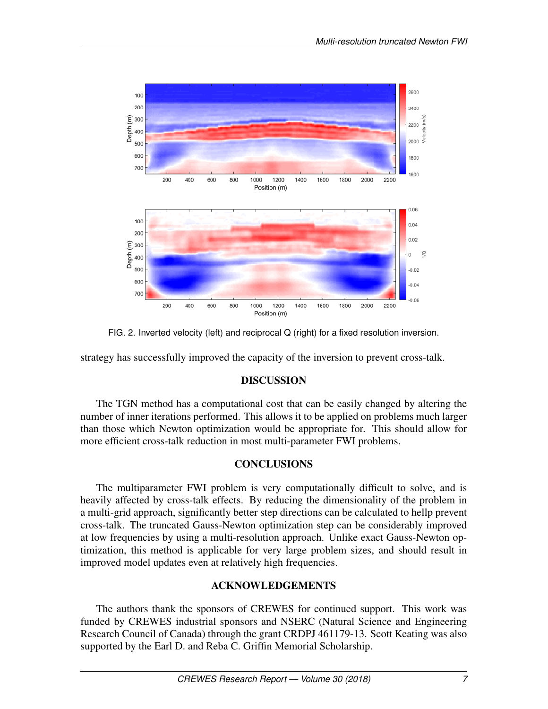

<span id="page-6-0"></span>FIG. 2. Inverted velocity (left) and reciprocal Q (right) for a fixed resolution inversion.

strategy has successfully improved the capacity of the inversion to prevent cross-talk.

## DISCUSSION

The TGN method has a computational cost that can be easily changed by altering the number of inner iterations performed. This allows it to be applied on problems much larger than those which Newton optimization would be appropriate for. This should allow for more efficient cross-talk reduction in most multi-parameter FWI problems.

## **CONCLUSIONS**

The multiparameter FWI problem is very computationally difficult to solve, and is heavily affected by cross-talk effects. By reducing the dimensionality of the problem in a multi-grid approach, significantly better step directions can be calculated to hellp prevent cross-talk. The truncated Gauss-Newton optimization step can be considerably improved at low frequencies by using a multi-resolution approach. Unlike exact Gauss-Newton optimization, this method is applicable for very large problem sizes, and should result in improved model updates even at relatively high frequencies.

## ACKNOWLEDGEMENTS

The authors thank the sponsors of CREWES for continued support. This work was funded by CREWES industrial sponsors and NSERC (Natural Science and Engineering Research Council of Canada) through the grant CRDPJ 461179-13. Scott Keating was also supported by the Earl D. and Reba C. Griffin Memorial Scholarship.